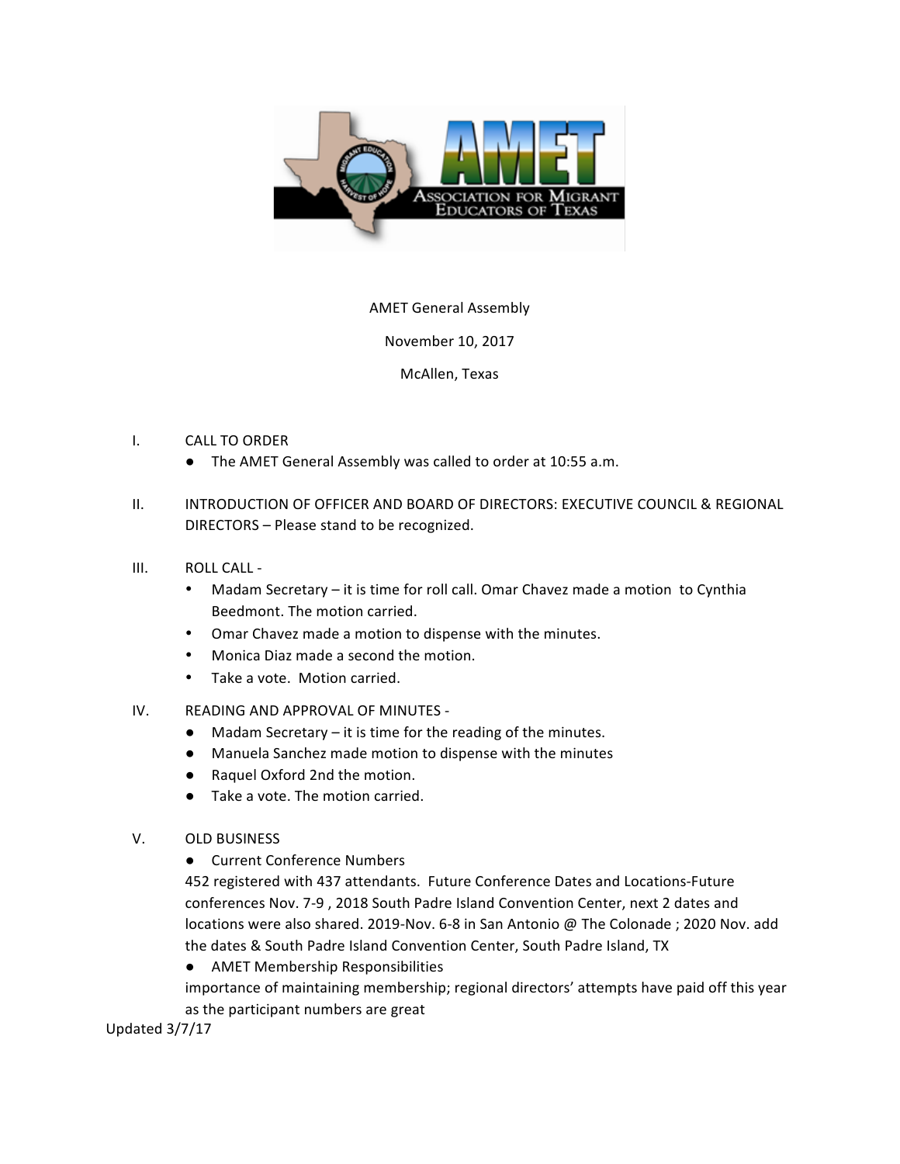

## **AMET General Assembly**

November 10, 2017

McAllen, Texas

- I. CALL TO ORDER
	- The AMET General Assembly was called to order at 10:55 a.m.
- II. INTRODUCTION OF OFFICER AND BOARD OF DIRECTORS: EXECUTIVE COUNCIL & REGIONAL DIRECTORS - Please stand to be recognized.
- III. ROLL CALL -
	- Madam Secretary it is time for roll call. Omar Chavez made a motion to Cynthia Beedmont. The motion carried.
	- Omar Chavez made a motion to dispense with the minutes.
	- Monica Diaz made a second the motion.
	- Take a vote. Motion carried.
- IV. READING AND APPROVAL OF MINUTES -
	- $\bullet$  Madam Secretary it is time for the reading of the minutes.
	- Manuela Sanchez made motion to dispense with the minutes
	- Raquel Oxford 2nd the motion.
	- $\bullet$  Take a vote. The motion carried.
- V. OLD BUSINESS
	- Current Conference Numbers

452 registered with 437 attendants. Future Conference Dates and Locations-Future conferences Nov. 7-9 , 2018 South Padre Island Convention Center, next 2 dates and locations were also shared. 2019-Nov. 6-8 in San Antonio @ The Colonade ; 2020 Nov. add the dates & South Padre Island Convention Center, South Padre Island, TX

● AMET Membership Responsibilities

importance of maintaining membership; regional directors' attempts have paid off this year as the participant numbers are great

Updated  $3/7/17$  and  $3/7/17$